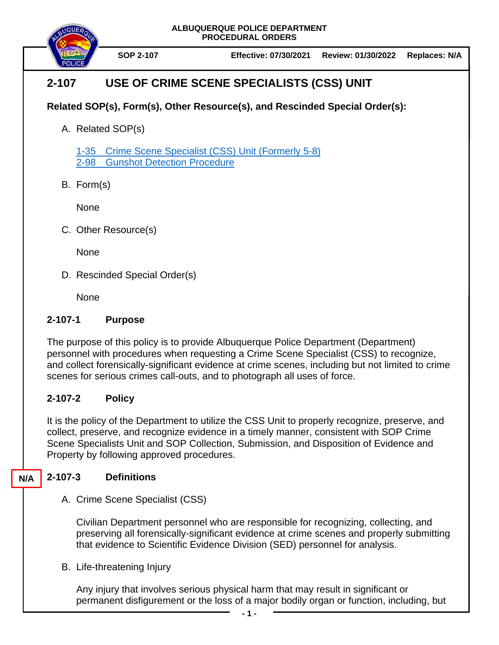**ALBUQUERQUE POLICE DEPARTMENT PROCEDURAL ORDERS**



# **2-107 USE OF CRIME SCENE SPECIALISTS (CSS) UNIT**

## **Related SOP(s), Form(s), Other Resource(s), and Rescinded Special Order(s):**

A. Related SOP(s)

1-35 [Crime Scene Specialist \(CSS\) Unit \(Formerly 5-8\)](https://powerdms.com/docs/525279) [2-98 Gunshot Detection Procedure](https://powerdms.com/docs/2114474)

B. Form(s)

None

C. Other Resource(s)

None

D. Rescinded Special Order(s)

**None** 

#### **2-107-1 Purpose**

The purpose of this policy is to provide Albuquerque Police Department (Department) personnel with procedures when requesting a Crime Scene Specialist (CSS) to recognize, and collect forensically-significant evidence at crime scenes, including but not limited to crime scenes for serious crimes call-outs, and to photograph all uses of force.

## **2-107-2 Policy**

It is the policy of the Department to utilize the CSS Unit to properly recognize, preserve, and collect, preserve, and recognize evidence in a timely manner, consistent with SOP Crime Scene Specialists Unit and SOP Collection, Submission, and Disposition of Evidence and Property by following approved procedures.

#### **2-107-3 Definitions N/A**

A. Crime Scene Specialist (CSS)

Civilian Department personnel who are responsible for recognizing, collecting, and preserving all forensically-significant evidence at crime scenes and properly submitting that evidence to Scientific Evidence Division (SED) personnel for analysis.

B. Life-threatening Injury

Any injury that involves serious physical harm that may result in significant or permanent disfigurement or the loss of a major bodily organ or function, including, but